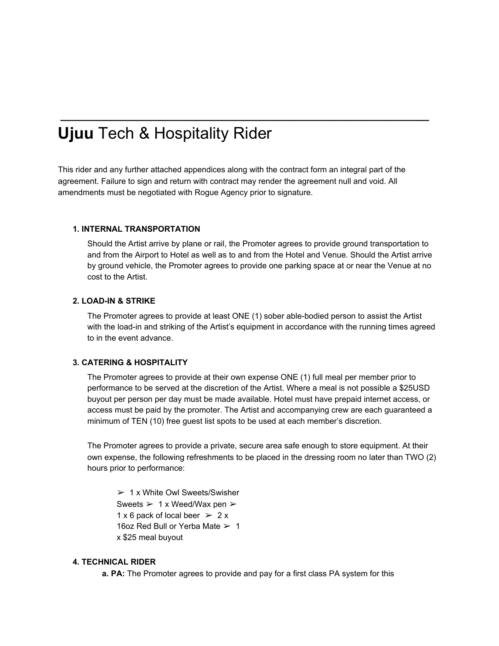# **Ujuu** Tech & Hospitality Rider

This rider and any further attached appendices along with the contract form an integral part of the agreement. Failure to sign and return with contract may render the agreement null and void. All amendments must be negotiated with Rogue Agency prior to signature.

**\_\_\_\_\_\_\_\_\_\_\_\_\_\_\_\_\_\_\_\_\_\_\_\_\_\_\_\_\_\_\_\_\_\_\_\_\_\_\_\_\_\_\_\_\_\_\_\_\_\_\_\_\_\_\_\_\_\_\_\_\_\_\_**

## **1. INTERNAL TRANSPORTATION**

Should the Artist arrive by plane or rail, the Promoter agrees to provide ground transportation to and from the Airport to Hotel as well as to and from the Hotel and Venue. Should the Artist arrive by ground vehicle, the Promoter agrees to provide one parking space at or near the Venue at no cost to the Artist.

#### **2. LOAD-IN & STRIKE**

The Promoter agrees to provide at least ONE (1) sober able-bodied person to assist the Artist with the load-in and striking of the Artist's equipment in accordance with the running times agreed to in the event advance.

#### **3. CATERING & HOSPITALITY**

The Promoter agrees to provide at their own expense ONE (1) full meal per member prior to performance to be served at the discretion of the Artist. Where a meal is not possible a \$25USD buyout per person per day must be made available. Hotel must have prepaid internet access, or access must be paid by the promoter. The Artist and accompanying crew are each guaranteed a minimum of TEN (10) free guest list spots to be used at each member's discretion.

The Promoter agrees to provide a private, secure area safe enough to store equipment. At their own expense, the following refreshments to be placed in the dressing room no later than TWO (2) hours prior to performance:

 $> 1x$  White Owl Sweets/Swisher Sweets  $> 1 x$  Weed/Wax pen  $> 1$ 1 x 6 pack of local beer  $> 2x$ 16oz Red Bull or Yerba Mate ➢ 1 x \$25 meal buyout

### **4. TECHNICAL RIDER**

**a. PA:** The Promoter agrees to provide and pay for a first class PA system for this